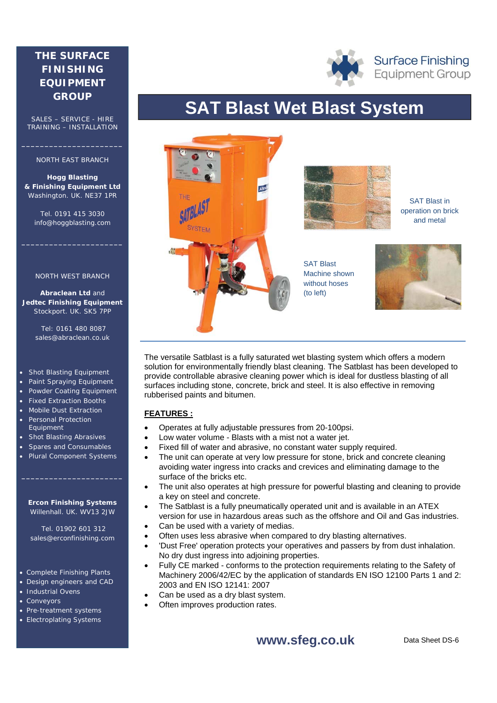# **THE SURFACE FINISHING EQUIPMENT GROUP**

SALES – SERVICE - HIRE TRAINING – INSTALLATION

### NORTH EAST BRANCH

**\_\_\_\_\_\_\_\_\_\_\_\_\_\_\_\_\_\_\_\_\_\_** 

**Hogg Blasting & Finishing Equipment Ltd** Washington. UK. NE37 1PR

Tel. 0191 415 3030 info@hoggblasting.com

**\_\_\_\_\_\_\_\_\_\_\_\_\_\_\_\_\_\_\_\_\_\_** 

#### NORTH WEST BRANCH

**Abraclean Ltd** and **Jedtec Finishing Equipment** Stockport. UK. SK5 7PP

> Tel: 0161 480 8087 sales@abraclean.co.uk

#### Shot Blasting Equipment

- Paint Spraying Equipment
- Powder Coating Equipment
- Fixed Extraction Booths
- Mobile Dust Extraction Personal Protection
- Equipment • Shot Blasting Abrasives
- Spares and Consumables
- Plural Component Systems

#### **Ercon Finishing Systems** Willenhall. UK. WV13 2JW

**\_\_\_\_\_\_\_\_\_\_\_\_\_\_\_\_\_\_\_\_\_\_** 

 Tel. 01902 601 312 sales@erconfinishing.com

#### Complete Finishing Plants

- Design engineers and CAD
- **Industrial Ovens**
- **Conveyors**
- Pre-treatment systems
- Electroplating Systems

# **SAT Blast Wet Blast System**



The versatile Satblast is a fully saturated wet blasting system which offers a modern solution for environmentally friendly blast cleaning. The Satblast has been developed to provide controllable abrasive cleaning power which is ideal for dustless blasting of all surfaces including stone, concrete, brick and steel. It is also effective in removing rubberised paints and bitumen.

# **FEATURES :**

- Operates at fully adjustable pressures from 20-100psi.
- Low water volume Blasts with a mist not a water jet.
- Fixed fill of water and abrasive, no constant water supply required.
- The unit can operate at very low pressure for stone, brick and concrete cleaning avoiding water ingress into cracks and crevices and eliminating damage to the surface of the bricks etc.
- The unit also operates at high pressure for powerful blasting and cleaning to provide a key on steel and concrete.
- The Satblast is a fully pneumatically operated unit and is available in an ATEX version for use in hazardous areas such as the offshore and Oil and Gas industries.
- Can be used with a variety of medias.
- Often uses less abrasive when compared to dry blasting alternatives.
- 'Dust Free' operation protects your operatives and passers by from dust inhalation. No dry dust ingress into adjoining properties.
- Fully CE marked conforms to the protection requirements relating to the Safety of Machinery 2006/42/EC by the application of standards EN ISO 12100 Parts 1 and 2: 2003 and EN ISO 12141: 2007
- Ovens example a cooperation of the used as a dry blast system.
	- Often improves production rates.

# **www.sfeg.co.uk**

**Surface Finishing Equipment Group**